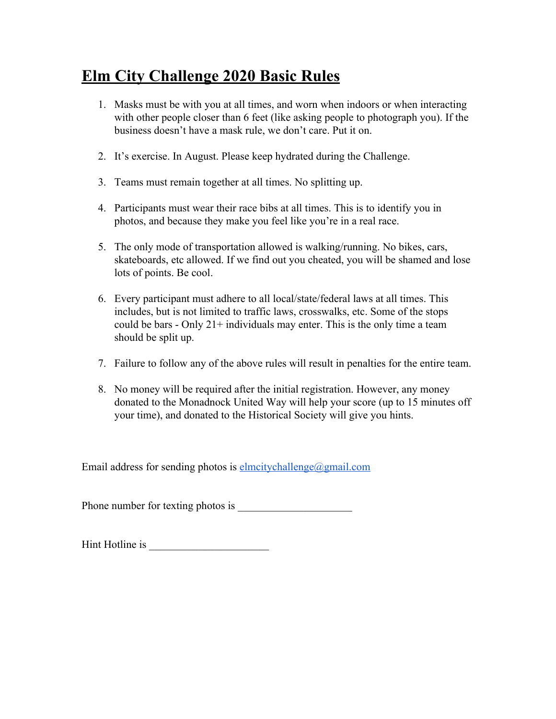## **Elm City Challenge 2020 Basic Rules**

- 1. Masks must be with you at all times, and worn when indoors or when interacting with other people closer than 6 feet (like asking people to photograph you). If the business doesn't have a mask rule, we don't care. Put it on.
- 2. It's exercise. In August. Please keep hydrated during the Challenge.
- 3. Teams must remain together at all times. No splitting up.
- 4. Participants must wear their race bibs at all times. This is to identify you in photos, and because they make you feel like you're in a real race.
- 5. The only mode of transportation allowed is walking/running. No bikes, cars, skateboards, etc allowed. If we find out you cheated, you will be shamed and lose lots of points. Be cool.
- 6. Every participant must adhere to all local/state/federal laws at all times. This includes, but is not limited to traffic laws, crosswalks, etc. Some of the stops could be bars  $-$  Only 21+ individuals may enter. This is the only time a team should be split up.
- 7. Failure to follow any of the above rules will result in penalties for the entire team.
- 8. No money will be required after the initial registration. However, any money donated to the Monadnock United Way will help your score (up to 15 minutes off your time), and donated to the Historical Society will give you hints.

Email address for sending photos is [elmcitychallenge@gmail.com](mailto:elmcitychallenge@gmail.com)

Phone number for texting photos is \_\_\_\_\_\_\_\_\_\_\_\_\_\_\_\_\_\_\_\_\_

Hint Hotline is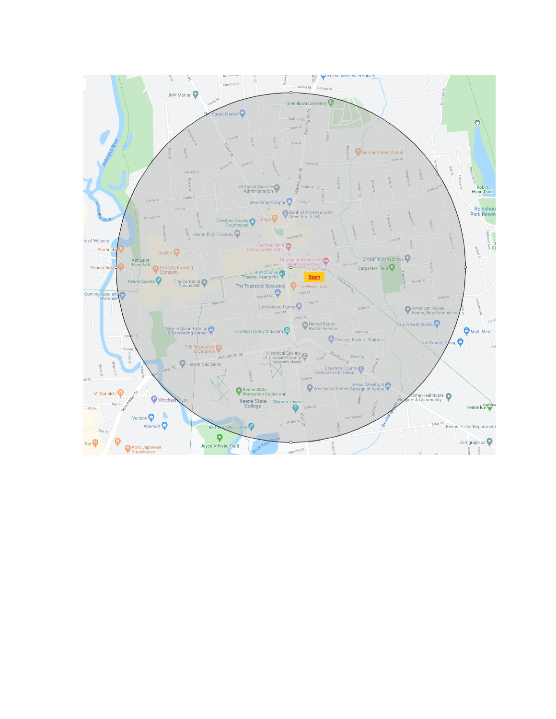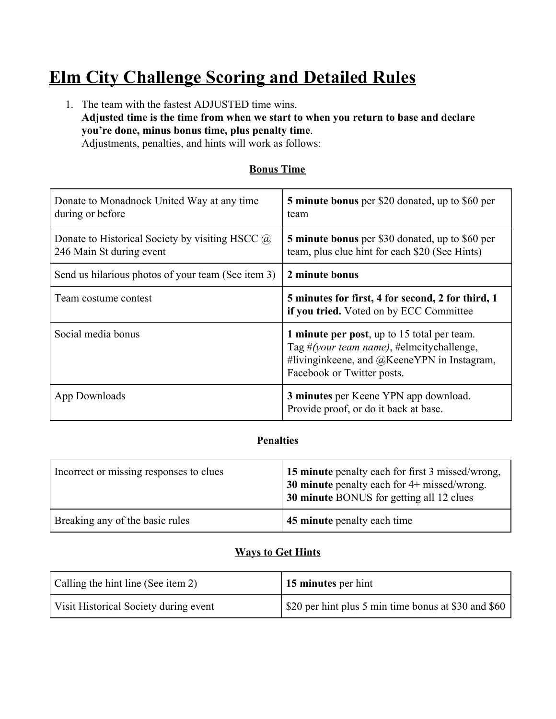# **Elm City Challenge Scoring and Detailed Rules**

1. The team with the fastest ADJUSTED time wins. **Adjusted time is the time from when we start to when you return to base and declare you're done, minus bonus time, plus penalty time**. Adjustments, penalties, and hints will work as follows:

### **Bonus Time**

| Donate to Monadnock United Way at any time<br>during or before              | <b>5 minute bonus</b> per \$20 donated, up to \$60 per<br>team                                                                                                           |
|-----------------------------------------------------------------------------|--------------------------------------------------------------------------------------------------------------------------------------------------------------------------|
| Donate to Historical Society by visiting HSCC @<br>246 Main St during event | <b>5 minute bonus</b> per \$30 donated, up to \$60 per<br>team, plus clue hint for each \$20 (See Hints)                                                                 |
| Send us hilarious photos of your team (See item 3)                          | 2 minute bonus                                                                                                                                                           |
| Team costume contest                                                        | 5 minutes for first, 4 for second, 2 for third, 1<br>if you tried. Voted on by ECC Committee                                                                             |
| Social media bonus                                                          | 1 minute per post, up to 15 total per team.<br>Tag #(your team name), #elmcitychallenge,<br>#livinginkeene, and $@$ KeeneYPN in Instagram,<br>Facebook or Twitter posts. |
| App Downloads                                                               | 3 minutes per Keene YPN app download.<br>Provide proof, or do it back at base.                                                                                           |

#### **Penalties**

| Incorrect or missing responses to clues | <b>15 minute</b> penalty each for first 3 missed/wrong,<br><b>30 minute</b> penalty each for 4+ missed/wrong.<br>30 minute BONUS for getting all 12 clues |
|-----------------------------------------|-----------------------------------------------------------------------------------------------------------------------------------------------------------|
| Breaking any of the basic rules         | 45 minute penalty each time                                                                                                                               |

### **Ways to Get Hints**

| Calling the hint line (See item 2)    | 15 minutes per hint                                          |
|---------------------------------------|--------------------------------------------------------------|
| Visit Historical Society during event | Separate S20 per hint plus 5 min time bonus at \$30 and \$60 |